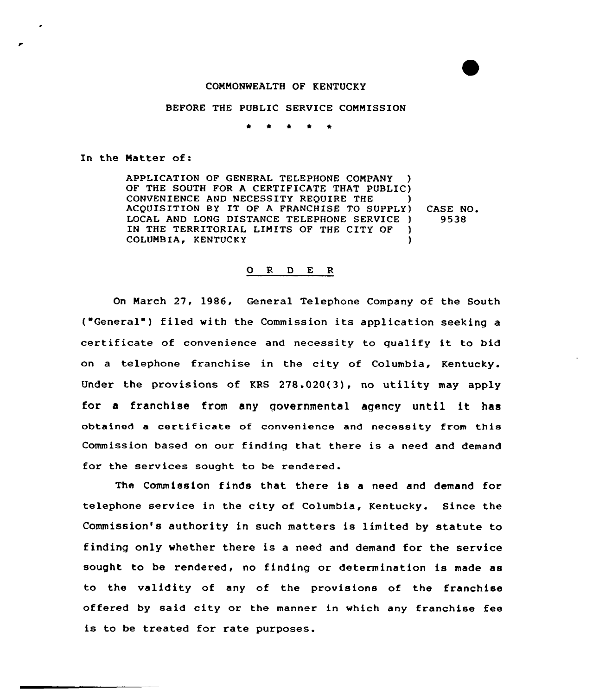#### COMMONWEALTH OF KENTUCKY

## BEFORE THE PUBLIC SERVICE COMMISSION

 $\bullet$  $\bullet$  $\bullet$  $\bullet$ 

#### In the Matter of:

APPLICATION OF GENERAL TELEPHONE COMPANY OF THE SOUTH FOR A CERTIFICATE THAT PUBLIC) CONVENIENCE AND NECESSITY REQUIRE THE ACQUISITION BY IT OF <sup>A</sup> FRANCHISE TO SUPPLY) LOCAL AND LONG DISTANCE TELEPHONE SERVICE ) IN THE TERRITORIAL LIMITS OF THE CITY OF )<br>COLUMBIA. KENTUCKY COLUMBIA, KENTUCKY ) CASE NO. 9538

### 0 R <sup>D</sup> E R

On March 27, 1986, General Telephone Company of the South ("General") filed with the Commission its application seeking a certificate of convenience and necessity to qualify it to bid on a telephone franchise in the city of Columbia, Kentucky. Under the provisions of KRS 278.020(3), no utility may apply for <sup>a</sup> franchise from any governmental agency until it has obtained a certificate of convenience and necessity from this Commission based on our finding that there is a need and demand for the services sought to be rendered.

The Commission finds that there is a need and demand for telephone service in the city of Columbia, Kentucky. Since the Commission's authority in such matters is limited by statute to finding only whether there is a need and demand for the service sought to be rendered, no finding or determination is made as to the validity of any of the provisions of the franchise offered by said city or the manner in which any franchise fee is to be treated for rate purposes.